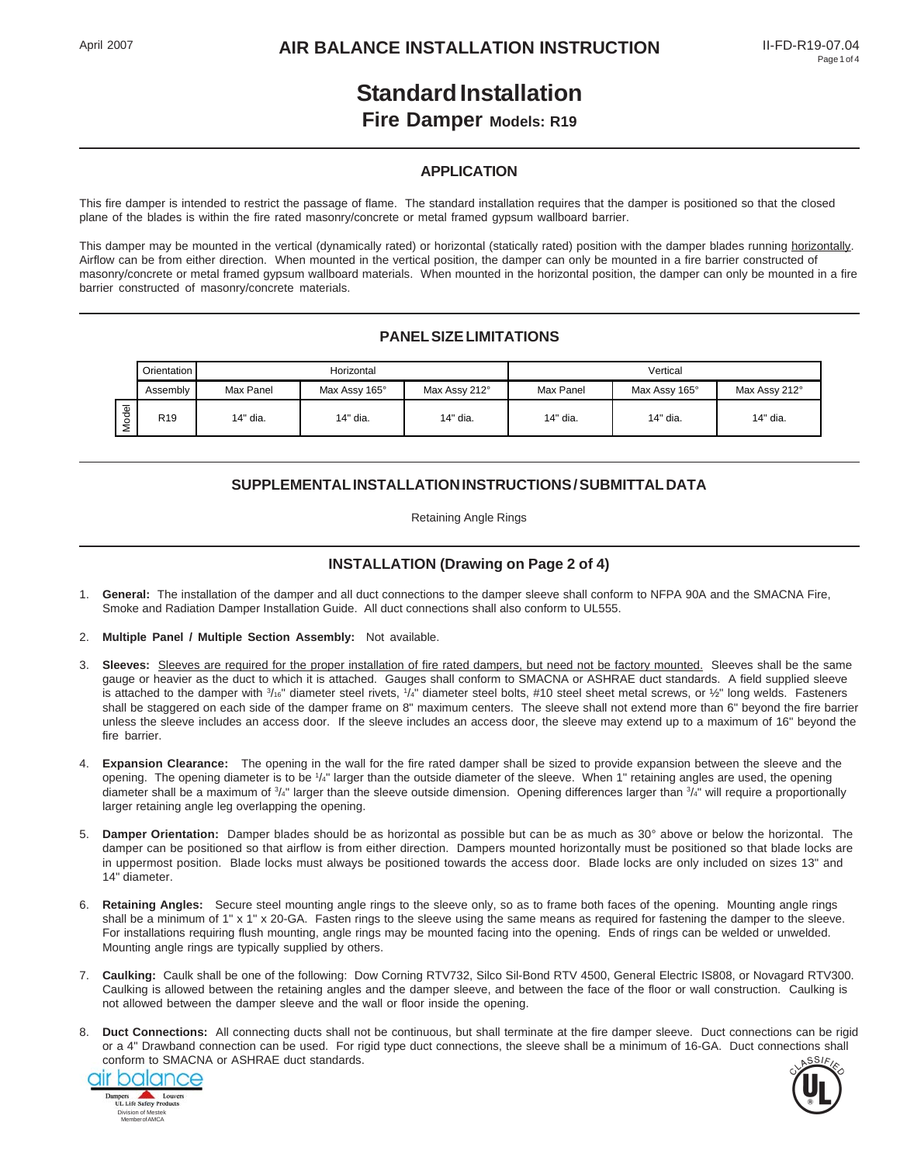# **Standard Installation**

## **Fire Damper Models: R19**

#### **APPLICATION**

This fire damper is intended to restrict the passage of flame. The standard installation requires that the damper is positioned so that the closed plane of the blades is within the fire rated masonry/concrete or metal framed gypsum wallboard barrier.

This damper may be mounted in the vertical (dynamically rated) or horizontal (statically rated) position with the damper blades running horizontally. Airflow can be from either direction. When mounted in the vertical position, the damper can only be mounted in a fire barrier constructed of masonry/concrete or metal framed gypsum wallboard materials. When mounted in the horizontal position, the damper can only be mounted in a fire barrier constructed of masonry/concrete materials.

#### **PANEL SIZE LIMITATIONS**

|                        | Orientation     | Horizontal |               |               | Vertical  |               |               |
|------------------------|-----------------|------------|---------------|---------------|-----------|---------------|---------------|
|                        | Assembly        | Max Panel  | Max Assy 165° | Max Assy 212° | Max Panel | Max Assy 165° | Max Assy 212° |
| $\overline{\Phi}$<br>⋍ | R <sub>19</sub> | 14" dia.   | 14" dia.      | 14" dia.      | 14" dia.  | 14" dia.      | 14" dia.      |

#### **SUPPLEMENTAL INSTALLATION INSTRUCTIONS / SUBMITTAL DATA**

Retaining Angle Rings

#### **INSTALLATION (Drawing on Page 2 of 4)**

- 1. **General:** The installation of the damper and all duct connections to the damper sleeve shall conform to NFPA 90A and the SMACNA Fire, Smoke and Radiation Damper Installation Guide. All duct connections shall also conform to UL555.
- 2. **Multiple Panel / Multiple Section Assembly:** Not available.
- 3. **Sleeves:** Sleeves are required for the proper installation of fire rated dampers, but need not be factory mounted. Sleeves shall be the same gauge or heavier as the duct to which it is attached. Gauges shall conform to SMACNA or ASHRAE duct standards. A field supplied sleeve is attached to the damper with  $\frac{3}{16}$ " diameter steel rivets,  $\frac{1}{4}$ " diameter steel bolts, #10 steel sheet metal screws, or  $\frac{1}{2}$ " long welds. Fasteners shall be staggered on each side of the damper frame on 8" maximum centers. The sleeve shall not extend more than 6" beyond the fire barrier unless the sleeve includes an access door. If the sleeve includes an access door, the sleeve may extend up to a maximum of 16" beyond the fire barrier.
- 4. **Expansion Clearance:** The opening in the wall for the fire rated damper shall be sized to provide expansion between the sleeve and the opening. The opening diameter is to be 1/4" larger than the outside diameter of the sleeve. When 1" retaining angles are used, the opening diameter shall be a maximum of 3/4" larger than the sleeve outside dimension. Opening differences larger than 3/4" will require a proportionally larger retaining angle leg overlapping the opening.
- 5. **Damper Orientation:** Damper blades should be as horizontal as possible but can be as much as 30° above or below the horizontal. The damper can be positioned so that airflow is from either direction. Dampers mounted horizontally must be positioned so that blade locks are in uppermost position. Blade locks must always be positioned towards the access door. Blade locks are only included on sizes 13" and 14" diameter.
- 6. **Retaining Angles:** Secure steel mounting angle rings to the sleeve only, so as to frame both faces of the opening. Mounting angle rings shall be a minimum of 1" x 1" x 20-GA. Fasten rings to the sleeve using the same means as required for fastening the damper to the sleeve. For installations requiring flush mounting, angle rings may be mounted facing into the opening. Ends of rings can be welded or unwelded. Mounting angle rings are typically supplied by others.
- 7. **Caulking:** Caulk shall be one of the following: Dow Corning RTV732, Silco Sil-Bond RTV 4500, General Electric IS808, or Novagard RTV300. Caulking is allowed between the retaining angles and the damper sleeve, and between the face of the floor or wall construction. Caulking is not allowed between the damper sleeve and the wall or floor inside the opening.
- 8. **Duct Connections:** All connecting ducts shall not be continuous, but shall terminate at the fire damper sleeve. Duct connections can be rigid or a 4" Drawband connection can be used. For rigid type duct connections, the sleeve shall be a minimum of 16-GA. Duct connections shall conform to SMACNA or ASHRAE duct standards.



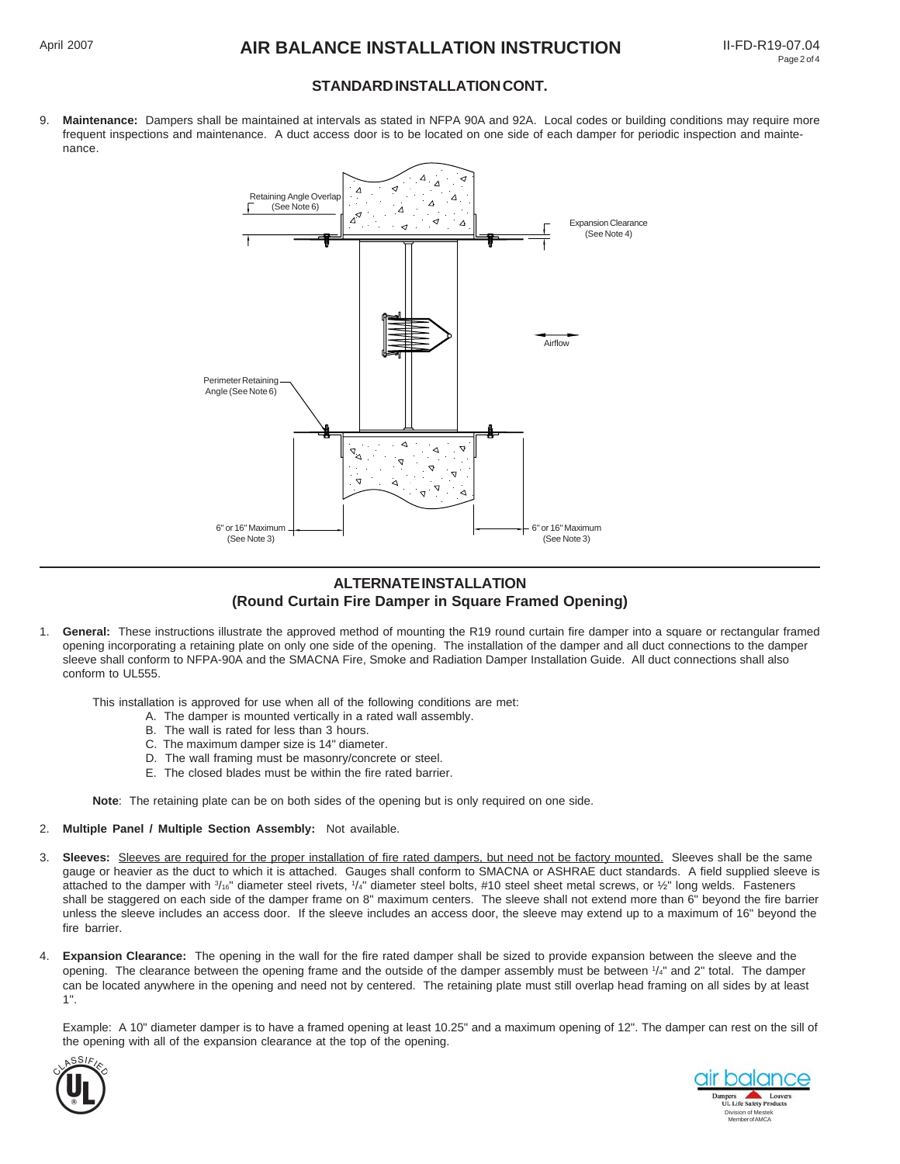#### **STANDARD INSTALLATION CONT.**

9. **Maintenance:** Dampers shall be maintained at intervals as stated in NFPA 90A and 92A. Local codes or building conditions may require more frequent inspections and maintenance. A duct access door is to be located on one side of each damper for periodic inspection and maintenance.



#### **ALTERNATE INSTALLATION (Round Curtain Fire Damper in Square Framed Opening)**

1. **General:** These instructions illustrate the approved method of mounting the R19 round curtain fire damper into a square or rectangular framed opening incorporating a retaining plate on only one side of the opening. The installation of the damper and all duct connections to the damper sleeve shall conform to NFPA-90A and the SMACNA Fire, Smoke and Radiation Damper Installation Guide. All duct connections shall also conform to UL555.

This installation is approved for use when all of the following conditions are met:

- A. The damper is mounted vertically in a rated wall assembly.
- B. The wall is rated for less than 3 hours.
- C. The maximum damper size is 14" diameter.
- D. The wall framing must be masonry/concrete or steel.
- E. The closed blades must be within the fire rated barrier.

**Note**: The retaining plate can be on both sides of the opening but is only required on one side.

#### 2. **Multiple Panel / Multiple Section Assembly:** Not available.

- 3. **Sleeves:** Sleeves are required for the proper installation of fire rated dampers, but need not be factory mounted. Sleeves shall be the same gauge or heavier as the duct to which it is attached. Gauges shall conform to SMACNA or ASHRAE duct standards. A field supplied sleeve is attached to the damper with  $\frac{3}{16}$ " diameter steel rivets,  $\frac{1}{4}$ " diameter steel bolts, #10 steel sheet metal screws, or 1/2" long welds. Fasteners shall be staggered on each side of the damper frame on 8" maximum centers. The sleeve shall not extend more than 6" beyond the fire barrier unless the sleeve includes an access door. If the sleeve includes an access door, the sleeve may extend up to a maximum of 16" beyond the fire barrier.
- 4. **Expansion Clearance:** The opening in the wall for the fire rated damper shall be sized to provide expansion between the sleeve and the opening. The clearance between the opening frame and the outside of the damper assembly must be between  $1/4"$  and 2" total. The damper can be located anywhere in the opening and need not by centered. The retaining plate must still overlap head framing on all sides by at least 1".

Example: A 10" diameter damper is to have a framed opening at least 10.25" and a maximum opening of 12". The damper can rest on the sill of the opening with all of the expansion clearance at the top of the opening.



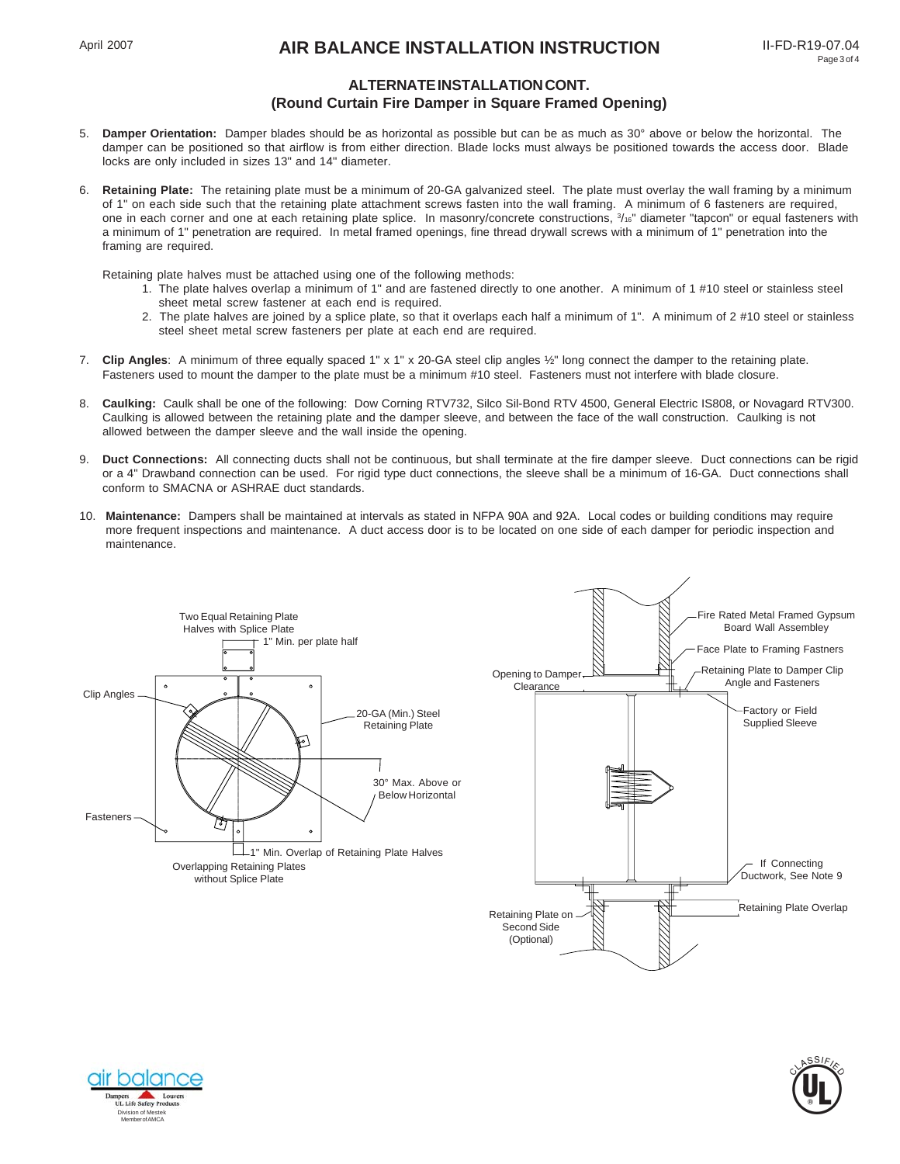## April 2007 **AIR BALANCE INSTALLATION INSTRUCTION** II-FD-R19-07.04

### **ALTERNATE INSTALLATION CONT. (Round Curtain Fire Damper in Square Framed Opening)**

- 5. **Damper Orientation:** Damper blades should be as horizontal as possible but can be as much as 30° above or below the horizontal. The damper can be positioned so that airflow is from either direction. Blade locks must always be positioned towards the access door. Blade locks are only included in sizes 13" and 14" diameter.
- 6. **Retaining Plate:** The retaining plate must be a minimum of 20-GA galvanized steel. The plate must overlay the wall framing by a minimum of 1" on each side such that the retaining plate attachment screws fasten into the wall framing. A minimum of 6 fasteners are required, one in each corner and one at each retaining plate splice. In masonry/concrete constructions,  $\frac{3}{16}$  diameter "tapcon" or equal fasteners with a minimum of 1" penetration are required. In metal framed openings, fine thread drywall screws with a minimum of 1" penetration into the framing are required.

Retaining plate halves must be attached using one of the following methods:

- 1. The plate halves overlap a minimum of 1" and are fastened directly to one another. A minimum of 1 #10 steel or stainless steel sheet metal screw fastener at each end is required.
- 2. The plate halves are joined by a splice plate, so that it overlaps each half a minimum of 1". A minimum of 2 #10 steel or stainless steel sheet metal screw fasteners per plate at each end are required.
- 7. **Clip Angles**: A minimum of three equally spaced 1" x 1" x 20-GA steel clip angles ½" long connect the damper to the retaining plate. Fasteners used to mount the damper to the plate must be a minimum #10 steel. Fasteners must not interfere with blade closure.
- 8. **Caulking:** Caulk shall be one of the following: Dow Corning RTV732, Silco Sil-Bond RTV 4500, General Electric IS808, or Novagard RTV300. Caulking is allowed between the retaining plate and the damper sleeve, and between the face of the wall construction. Caulking is not allowed between the damper sleeve and the wall inside the opening.
- 9. **Duct Connections:** All connecting ducts shall not be continuous, but shall terminate at the fire damper sleeve. Duct connections can be rigid or a 4" Drawband connection can be used. For rigid type duct connections, the sleeve shall be a minimum of 16-GA. Duct connections shall conform to SMACNA or ASHRAE duct standards.
- 10. **Maintenance:** Dampers shall be maintained at intervals as stated in NFPA 90A and 92A. Local codes or building conditions may require more frequent inspections and maintenance. A duct access door is to be located on one side of each damper for periodic inspection and maintenance.